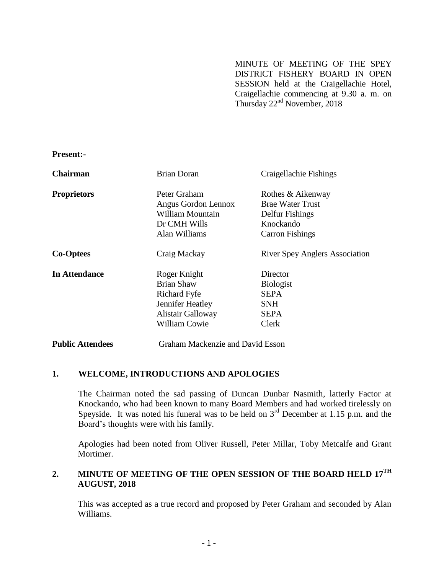MINUTE OF MEETING OF THE SPEY DISTRICT FISHERY BOARD IN OPEN SESSION held at the Craigellachie Hotel, Craigellachie commencing at 9.30 a. m. on Thursday 22<sup>nd</sup> November, 2018

**Present:-**

| <b>Chairman</b>         | <b>Brian Doran</b>                                                                                                               | Craigellachie Fishings                                                                                 |
|-------------------------|----------------------------------------------------------------------------------------------------------------------------------|--------------------------------------------------------------------------------------------------------|
| <b>Proprietors</b>      | Peter Graham<br>Angus Gordon Lennox<br>William Mountain<br>Dr CMH Wills<br>Alan Williams                                         | Rothes & Aikenway<br><b>Brae Water Trust</b><br>Delfur Fishings<br>Knockando<br><b>Carron Fishings</b> |
| <b>Co-Optees</b>        | Craig Mackay                                                                                                                     | <b>River Spey Anglers Association</b>                                                                  |
| <b>In Attendance</b>    | Roger Knight<br><b>Brian Shaw</b><br><b>Richard Fyfe</b><br>Jennifer Heatley<br><b>Alistair Galloway</b><br><b>William Cowie</b> | Director<br><b>Biologist</b><br><b>SEPA</b><br><b>SNH</b><br><b>SEPA</b><br>Clerk                      |
| <b>Public Attendees</b> | Graham Mackenzie and David Esson                                                                                                 |                                                                                                        |

### **1. WELCOME, INTRODUCTIONS AND APOLOGIES**

The Chairman noted the sad passing of Duncan Dunbar Nasmith, latterly Factor at Knockando, who had been known to many Board Members and had worked tirelessly on Speyside. It was noted his funeral was to be held on  $3<sup>rd</sup>$  December at 1.15 p.m. and the Board's thoughts were with his family.

Apologies had been noted from Oliver Russell, Peter Millar, Toby Metcalfe and Grant Mortimer.

# **2. MINUTE OF MEETING OF THE OPEN SESSION OF THE BOARD HELD 17TH AUGUST, 2018**

This was accepted as a true record and proposed by Peter Graham and seconded by Alan Williams.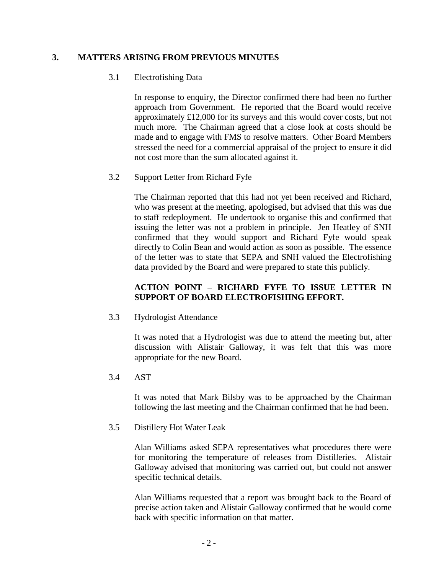# **3. MATTERS ARISING FROM PREVIOUS MINUTES**

### 3.1 Electrofishing Data

In response to enquiry, the Director confirmed there had been no further approach from Government. He reported that the Board would receive approximately £12,000 for its surveys and this would cover costs, but not much more. The Chairman agreed that a close look at costs should be made and to engage with FMS to resolve matters. Other Board Members stressed the need for a commercial appraisal of the project to ensure it did not cost more than the sum allocated against it.

# 3.2 Support Letter from Richard Fyfe

The Chairman reported that this had not yet been received and Richard, who was present at the meeting, apologised, but advised that this was due to staff redeployment. He undertook to organise this and confirmed that issuing the letter was not a problem in principle. Jen Heatley of SNH confirmed that they would support and Richard Fyfe would speak directly to Colin Bean and would action as soon as possible. The essence of the letter was to state that SEPA and SNH valued the Electrofishing data provided by the Board and were prepared to state this publicly.

# **ACTION POINT – RICHARD FYFE TO ISSUE LETTER IN SUPPORT OF BOARD ELECTROFISHING EFFORT.**

3.3 Hydrologist Attendance

It was noted that a Hydrologist was due to attend the meeting but, after discussion with Alistair Galloway, it was felt that this was more appropriate for the new Board.

3.4 AST

It was noted that Mark Bilsby was to be approached by the Chairman following the last meeting and the Chairman confirmed that he had been.

3.5 Distillery Hot Water Leak

Alan Williams asked SEPA representatives what procedures there were for monitoring the temperature of releases from Distilleries. Alistair Galloway advised that monitoring was carried out, but could not answer specific technical details.

Alan Williams requested that a report was brought back to the Board of precise action taken and Alistair Galloway confirmed that he would come back with specific information on that matter.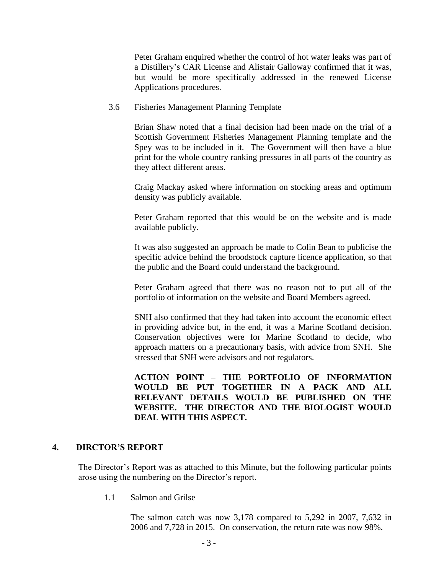Peter Graham enquired whether the control of hot water leaks was part of a Distillery's CAR License and Alistair Galloway confirmed that it was, but would be more specifically addressed in the renewed License Applications procedures.

#### 3.6 Fisheries Management Planning Template

Brian Shaw noted that a final decision had been made on the trial of a Scottish Government Fisheries Management Planning template and the Spey was to be included in it. The Government will then have a blue print for the whole country ranking pressures in all parts of the country as they affect different areas.

Craig Mackay asked where information on stocking areas and optimum density was publicly available.

Peter Graham reported that this would be on the website and is made available publicly.

It was also suggested an approach be made to Colin Bean to publicise the specific advice behind the broodstock capture licence application, so that the public and the Board could understand the background.

Peter Graham agreed that there was no reason not to put all of the portfolio of information on the website and Board Members agreed.

SNH also confirmed that they had taken into account the economic effect in providing advice but, in the end, it was a Marine Scotland decision. Conservation objectives were for Marine Scotland to decide, who approach matters on a precautionary basis, with advice from SNH. She stressed that SNH were advisors and not regulators.

**ACTION POINT – THE PORTFOLIO OF INFORMATION WOULD BE PUT TOGETHER IN A PACK AND ALL RELEVANT DETAILS WOULD BE PUBLISHED ON THE WEBSITE. THE DIRECTOR AND THE BIOLOGIST WOULD DEAL WITH THIS ASPECT.** 

### **4. DIRCTOR'S REPORT**

The Director's Report was as attached to this Minute, but the following particular points arose using the numbering on the Director's report.

1.1 Salmon and Grilse

The salmon catch was now 3,178 compared to 5,292 in 2007, 7,632 in 2006 and 7,728 in 2015. On conservation, the return rate was now 98%.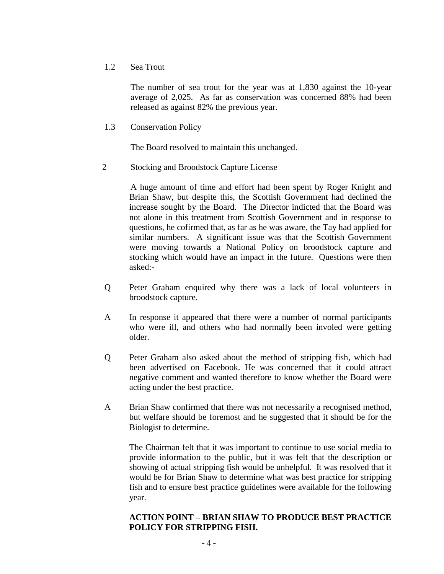## 1.2 Sea Trout

The number of sea trout for the year was at 1,830 against the 10-year average of 2,025. As far as conservation was concerned 88% had been released as against 82% the previous year.

1.3 Conservation Policy

The Board resolved to maintain this unchanged.

2 Stocking and Broodstock Capture License

A huge amount of time and effort had been spent by Roger Knight and Brian Shaw, but despite this, the Scottish Government had declined the increase sought by the Board. The Director indicted that the Board was not alone in this treatment from Scottish Government and in response to questions, he cofirmed that, as far as he was aware, the Tay had applied for similar numbers. A significant issue was that the Scottish Government were moving towards a National Policy on broodstock capture and stocking which would have an impact in the future. Questions were then asked:-

- Q Peter Graham enquired why there was a lack of local volunteers in broodstock capture.
- A In response it appeared that there were a number of normal participants who were ill, and others who had normally been involed were getting older.
- Q Peter Graham also asked about the method of stripping fish, which had been advertised on Facebook. He was concerned that it could attract negative comment and wanted therefore to know whether the Board were acting under the best practice.
- A Brian Shaw confirmed that there was not necessarily a recognised method, but welfare should be foremost and he suggested that it should be for the Biologist to determine.

The Chairman felt that it was important to continue to use social media to provide information to the public, but it was felt that the description or showing of actual stripping fish would be unhelpful. It was resolved that it would be for Brian Shaw to determine what was best practice for stripping fish and to ensure best practice guidelines were available for the following year.

# **ACTION POINT – BRIAN SHAW TO PRODUCE BEST PRACTICE POLICY FOR STRIPPING FISH.**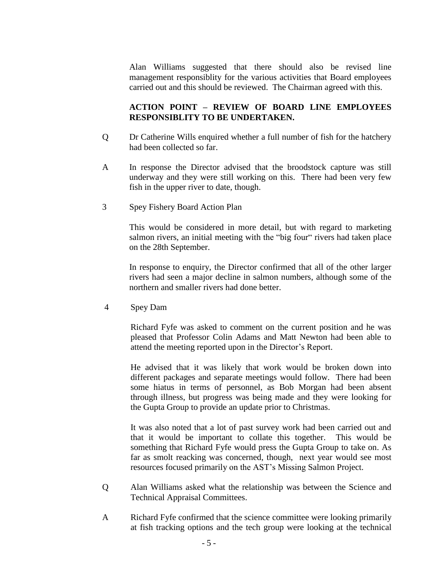Alan Williams suggested that there should also be revised line management responsiblity for the various activities that Board employees carried out and this should be reviewed. The Chairman agreed with this.

# **ACTION POINT – REVIEW OF BOARD LINE EMPLOYEES RESPONSIBLITY TO BE UNDERTAKEN.**

- Q Dr Catherine Wills enquired whether a full number of fish for the hatchery had been collected so far.
- A In response the Director advised that the broodstock capture was still underway and they were still working on this. There had been very few fish in the upper river to date, though.
- 3 Spey Fishery Board Action Plan

This would be considered in more detail, but with regard to marketing salmon rivers, an initial meeting with the "big four" rivers had taken place on the 28th September.

In response to enquiry, the Director confirmed that all of the other larger rivers had seen a major decline in salmon numbers, although some of the northern and smaller rivers had done better.

4 Spey Dam

Richard Fyfe was asked to comment on the current position and he was pleased that Professor Colin Adams and Matt Newton had been able to attend the meeting reported upon in the Director's Report.

He advised that it was likely that work would be broken down into different packages and separate meetings would follow. There had been some hiatus in terms of personnel, as Bob Morgan had been absent through illness, but progress was being made and they were looking for the Gupta Group to provide an update prior to Christmas.

It was also noted that a lot of past survey work had been carried out and that it would be important to collate this together. This would be something that Richard Fyfe would press the Gupta Group to take on. As far as smolt reacking was concerned, though, next year would see most resources focused primarily on the AST's Missing Salmon Project.

- Q Alan Williams asked what the relationship was between the Science and Technical Appraisal Committees.
- A Richard Fyfe confirmed that the science committee were looking primarily at fish tracking options and the tech group were looking at the technical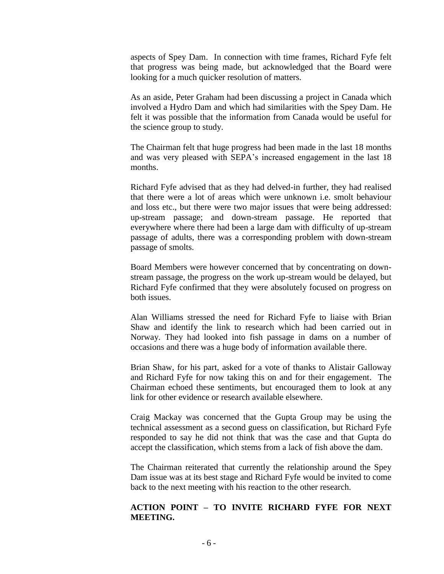aspects of Spey Dam. In connection with time frames, Richard Fyfe felt that progress was being made, but acknowledged that the Board were looking for a much quicker resolution of matters.

As an aside, Peter Graham had been discussing a project in Canada which involved a Hydro Dam and which had similarities with the Spey Dam. He felt it was possible that the information from Canada would be useful for the science group to study.

The Chairman felt that huge progress had been made in the last 18 months and was very pleased with SEPA's increased engagement in the last 18 months.

Richard Fyfe advised that as they had delved-in further, they had realised that there were a lot of areas which were unknown i.e. smolt behaviour and loss etc., but there were two major issues that were being addressed: up-stream passage; and down-stream passage. He reported that everywhere where there had been a large dam with difficulty of up-stream passage of adults, there was a corresponding problem with down-stream passage of smolts.

Board Members were however concerned that by concentrating on downstream passage, the progress on the work up-stream would be delayed, but Richard Fyfe confirmed that they were absolutely focused on progress on both issues.

Alan Williams stressed the need for Richard Fyfe to liaise with Brian Shaw and identify the link to research which had been carried out in Norway. They had looked into fish passage in dams on a number of occasions and there was a huge body of information available there.

Brian Shaw, for his part, asked for a vote of thanks to Alistair Galloway and Richard Fyfe for now taking this on and for their engagement. The Chairman echoed these sentiments, but encouraged them to look at any link for other evidence or research available elsewhere.

Craig Mackay was concerned that the Gupta Group may be using the technical assessment as a second guess on classification, but Richard Fyfe responded to say he did not think that was the case and that Gupta do accept the classification, which stems from a lack of fish above the dam.

The Chairman reiterated that currently the relationship around the Spey Dam issue was at its best stage and Richard Fyfe would be invited to come back to the next meeting with his reaction to the other research.

## **ACTION POINT – TO INVITE RICHARD FYFE FOR NEXT MEETING.**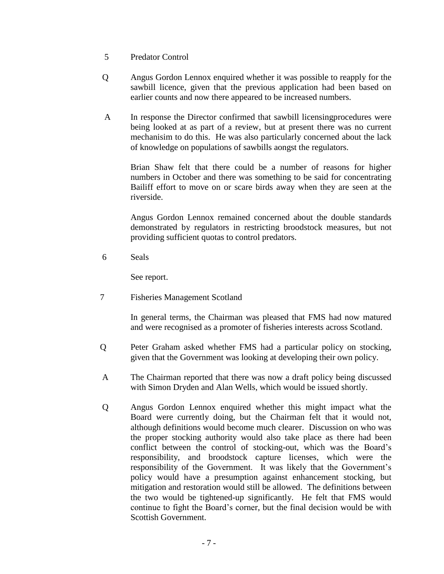- 5 Predator Control
- Q Angus Gordon Lennox enquired whether it was possible to reapply for the sawbill licence, given that the previous application had been based on earlier counts and now there appeared to be increased numbers.
- A In response the Director confirmed that sawbill licensingprocedures were being looked at as part of a review, but at present there was no current mechanisim to do this. He was also particularly concerned about the lack of knowledge on populations of sawbills aongst the regulators.

Brian Shaw felt that there could be a number of reasons for higher numbers in October and there was something to be said for concentrating Bailiff effort to move on or scare birds away when they are seen at the riverside.

Angus Gordon Lennox remained concerned about the double standards demonstrated by regulators in restricting broodstock measures, but not providing sufficient quotas to control predators.

6 Seals

See report.

7 Fisheries Management Scotland

In general terms, the Chairman was pleased that FMS had now matured and were recognised as a promoter of fisheries interests across Scotland.

- Q Peter Graham asked whether FMS had a particular policy on stocking, given that the Government was looking at developing their own policy.
- A The Chairman reported that there was now a draft policy being discussed with Simon Dryden and Alan Wells, which would be issued shortly.
- Q Angus Gordon Lennox enquired whether this might impact what the Board were currently doing, but the Chairman felt that it would not, although definitions would become much clearer. Discussion on who was the proper stocking authority would also take place as there had been conflict between the control of stocking-out, which was the Board's responsibility, and broodstock capture licenses, which were the responsibility of the Government. It was likely that the Government's policy would have a presumption against enhancement stocking, but mitigation and restoration would still be allowed. The definitions between the two would be tightened-up significantly. He felt that FMS would continue to fight the Board's corner, but the final decision would be with Scottish Government.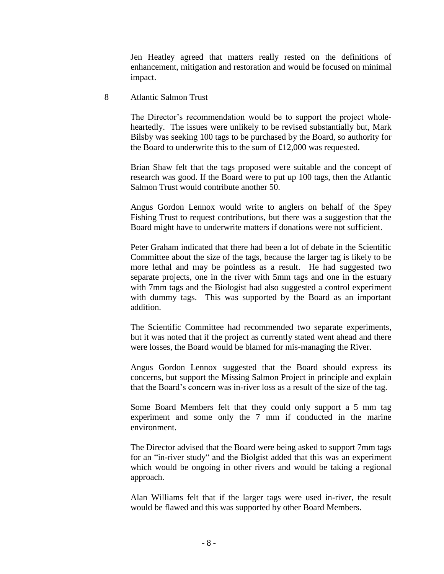Jen Heatley agreed that matters really rested on the definitions of enhancement, mitigation and restoration and would be focused on minimal impact.

8 Atlantic Salmon Trust

The Director's recommendation would be to support the project wholeheartedly. The issues were unlikely to be revised substantially but, Mark Bilsby was seeking 100 tags to be purchased by the Board, so authority for the Board to underwrite this to the sum of £12,000 was requested.

Brian Shaw felt that the tags proposed were suitable and the concept of research was good. If the Board were to put up 100 tags, then the Atlantic Salmon Trust would contribute another 50.

Angus Gordon Lennox would write to anglers on behalf of the Spey Fishing Trust to request contributions, but there was a suggestion that the Board might have to underwrite matters if donations were not sufficient.

Peter Graham indicated that there had been a lot of debate in the Scientific Committee about the size of the tags, because the larger tag is likely to be more lethal and may be pointless as a result. He had suggested two separate projects, one in the river with 5mm tags and one in the estuary with 7mm tags and the Biologist had also suggested a control experiment with dummy tags. This was supported by the Board as an important addition.

The Scientific Committee had recommended two separate experiments, but it was noted that if the project as currently stated went ahead and there were losses, the Board would be blamed for mis-managing the River.

Angus Gordon Lennox suggested that the Board should express its concerns, but support the Missing Salmon Project in principle and explain that the Board's concern was in-river loss as a result of the size of the tag.

Some Board Members felt that they could only support a 5 mm tag experiment and some only the 7 mm if conducted in the marine environment.

The Director advised that the Board were being asked to support 7mm tags for an "in-river study" and the Biolgist added that this was an experiment which would be ongoing in other rivers and would be taking a regional approach.

Alan Williams felt that if the larger tags were used in-river, the result would be flawed and this was supported by other Board Members.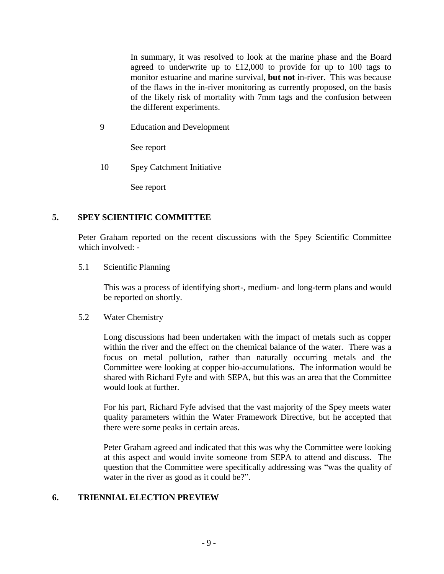In summary, it was resolved to look at the marine phase and the Board agreed to underwrite up to £12,000 to provide for up to 100 tags to monitor estuarine and marine survival, **but not** in-river. This was because of the flaws in the in-river monitoring as currently proposed, on the basis of the likely risk of mortality with 7mm tags and the confusion between the different experiments.

9 Education and Development

See report

10 Spey Catchment Initiative

See report

### **5. SPEY SCIENTIFIC COMMITTEE**

Peter Graham reported on the recent discussions with the Spey Scientific Committee which involved: -

5.1 Scientific Planning

This was a process of identifying short-, medium- and long-term plans and would be reported on shortly.

5.2 Water Chemistry

Long discussions had been undertaken with the impact of metals such as copper within the river and the effect on the chemical balance of the water. There was a focus on metal pollution, rather than naturally occurring metals and the Committee were looking at copper bio-accumulations. The information would be shared with Richard Fyfe and with SEPA, but this was an area that the Committee would look at further.

For his part, Richard Fyfe advised that the vast majority of the Spey meets water quality parameters within the Water Framework Directive, but he accepted that there were some peaks in certain areas.

Peter Graham agreed and indicated that this was why the Committee were looking at this aspect and would invite someone from SEPA to attend and discuss. The question that the Committee were specifically addressing was "was the quality of water in the river as good as it could be?".

### **6. TRIENNIAL ELECTION PREVIEW**